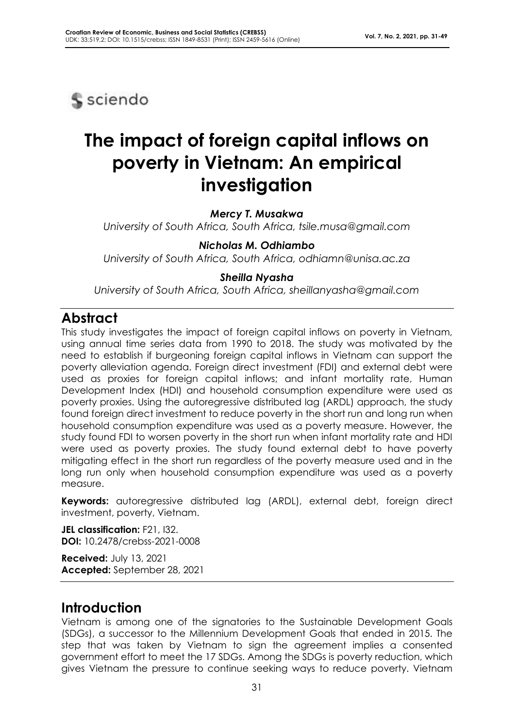**S** sciendo

# **The impact of foreign capital inflows on poverty in Vietnam: An empirical investigation**

*Mercy T. Musakwa*

*University of South Africa, South Africa, tsile.musa@gmail.com*

*Nicholas M. Odhiambo University of South Africa, South Africa, odhiamn@unisa.ac.za*

### *Sheilla Nyasha*

*University of South Africa, South Africa, sheillanyasha@gmail.com*

# **Abstract**

This study investigates the impact of foreign capital inflows on poverty in Vietnam, using annual time series data from 1990 to 2018. The study was motivated by the need to establish if burgeoning foreign capital inflows in Vietnam can support the poverty alleviation agenda. Foreign direct investment (FDI) and external debt were used as proxies for foreign capital inflows; and infant mortality rate, Human Development Index (HDI) and household consumption expenditure were used as poverty proxies. Using the autoregressive distributed lag (ARDL) approach, the study found foreign direct investment to reduce poverty in the short run and long run when household consumption expenditure was used as a poverty measure. However, the study found FDI to worsen poverty in the short run when infant mortality rate and HDI were used as poverty proxies. The study found external debt to have poverty mitigating effect in the short run regardless of the poverty measure used and in the long run only when household consumption expenditure was used as a poverty measure.

**Keywords:** autoregressive distributed lag (ARDL), external debt, foreign direct investment, poverty, Vietnam.

**JEL classification:** F21, I32. **DOI:** 10.2478/crebss-2021-0008

**Received:** July 13, 2021 **Accepted:** September 28, 2021

## **Introduction**

Vietnam is among one of the signatories to the Sustainable Development Goals (SDGs), a successor to the Millennium Development Goals that ended in 2015. The step that was taken by Vietnam to sign the agreement implies a consented government effort to meet the 17 SDGs. Among the SDGs is poverty reduction, which gives Vietnam the pressure to continue seeking ways to reduce poverty. Vietnam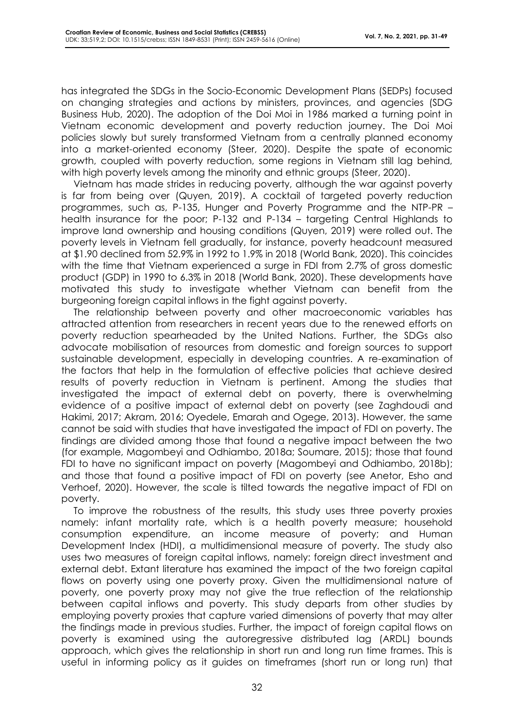has integrated the SDGs in the Socio-Economic Development Plans (SEDPs) focused on changing strategies and actions by ministers, provinces, and agencies (SDG Business Hub, 2020). The adoption of the Doi Moi in 1986 marked a turning point in Vietnam economic development and poverty reduction journey. The Doi Moi policies slowly but surely transformed Vietnam from a centrally planned economy into a market-oriented economy (Steer, 2020). Despite the spate of economic growth, coupled with poverty reduction, some regions in Vietnam still lag behind, with high poverty levels among the minority and ethnic groups (Steer, 2020).

Vietnam has made strides in reducing poverty, although the war against poverty is far from being over (Quyen, 2019). A cocktail of targeted poverty reduction programmes, such as, P-135, Hunger and Poverty Programme and the NTP-PR – health insurance for the poor; P-132 and P-134 – targeting Central Highlands to improve land ownership and housing conditions (Quyen, 2019) were rolled out. The poverty levels in Vietnam fell gradually, for instance, poverty headcount measured at \$1.90 declined from 52.9% in 1992 to 1.9% in 2018 (World Bank, 2020). This coincides with the time that Vietnam experienced a surge in FDI from 2.7% of gross domestic product (GDP) in 1990 to 6.3% in 2018 (World Bank, 2020). These developments have motivated this study to investigate whether Vietnam can benefit from the burgeoning foreign capital inflows in the fight against poverty.

The relationship between poverty and other macroeconomic variables has attracted attention from researchers in recent years due to the renewed efforts on poverty reduction spearheaded by the United Nations. Further, the SDGs also advocate mobilisation of resources from domestic and foreign sources to support sustainable development, especially in developing countries. A re-examination of the factors that help in the formulation of effective policies that achieve desired results of poverty reduction in Vietnam is pertinent. Among the studies that investigated the impact of external debt on poverty, there is overwhelming evidence of a positive impact of external debt on poverty (see Zaghdoudi and Hakimi, 2017; Akram, 2016; Oyedele, Emarah and Ogege, 2013). However, the same cannot be said with studies that have investigated the impact of FDI on poverty. The findings are divided among those that found a negative impact between the two (for example, Magombeyi and Odhiambo, 2018a; Soumare, 2015); those that found FDI to have no significant impact on poverty (Magombeyi and Odhiambo, 2018b); and those that found a positive impact of FDI on poverty (see Anetor, Esho and Verhoef, 2020). However, the scale is tilted towards the negative impact of FDI on poverty.

To improve the robustness of the results, this study uses three poverty proxies namely: infant mortality rate, which is a health poverty measure; household consumption expenditure, an income measure of poverty; and Human Development Index (HDI), a multidimensional measure of poverty. The study also uses two measures of foreign capital inflows, namely: foreign direct investment and external debt. Extant literature has examined the impact of the two foreign capital flows on poverty using one poverty proxy. Given the multidimensional nature of poverty, one poverty proxy may not give the true reflection of the relationship between capital inflows and poverty. This study departs from other studies by employing poverty proxies that capture varied dimensions of poverty that may alter the findings made in previous studies. Further, the impact of foreign capital flows on poverty is examined using the autoregressive distributed lag (ARDL) bounds approach, which gives the relationship in short run and long run time frames. This is useful in informing policy as it guides on timeframes (short run or long run) that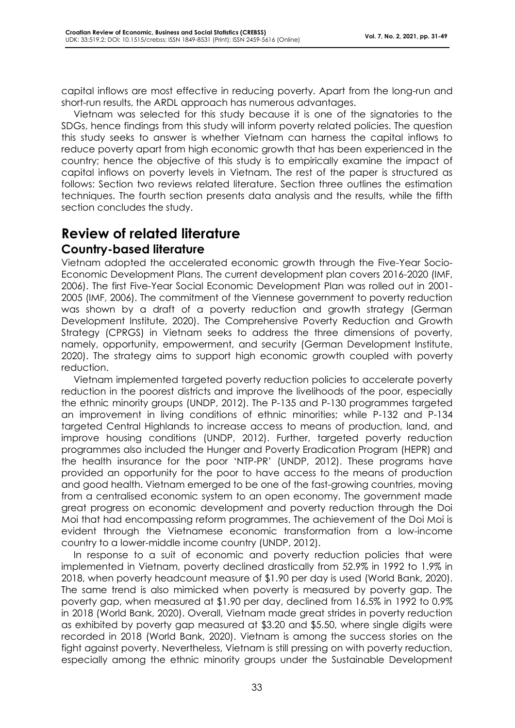capital inflows are most effective in reducing poverty. Apart from the long-run and short-run results, the ARDL approach has numerous advantages.

Vietnam was selected for this study because it is one of the signatories to the SDGs, hence findings from this study will inform poverty related policies. The question this study seeks to answer is whether Vietnam can harness the capital inflows to reduce poverty apart from high economic growth that has been experienced in the country; hence the objective of this study is to empirically examine the impact of capital inflows on poverty levels in Vietnam. The rest of the paper is structured as follows: Section two reviews related literature. Section three outlines the estimation techniques. The fourth section presents data analysis and the results, while the fifth section concludes the study.

# **Review of related literature Country-based literature**

Vietnam adopted the accelerated economic growth through the Five-Year Socio-Economic Development Plans. The current development plan covers 2016-2020 (IMF, 2006). The first Five-Year Social Economic Development Plan was rolled out in 2001- 2005 (IMF, 2006). The commitment of the Viennese government to poverty reduction was shown by a draft of a poverty reduction and growth strategy (German Development Institute, 2020). The Comprehensive Poverty Reduction and Growth Strategy (CPRGS) in Vietnam seeks to address the three dimensions of poverty, namely, opportunity, empowerment, and security (German Development Institute, 2020). The strategy aims to support high economic growth coupled with poverty reduction.

Vietnam implemented targeted poverty reduction policies to accelerate poverty reduction in the poorest districts and improve the livelihoods of the poor, especially the ethnic minority groups (UNDP, 2012). The P-135 and P-130 programmes targeted an improvement in living conditions of ethnic minorities; while P-132 and P-134 targeted Central Highlands to increase access to means of production, land, and improve housing conditions (UNDP, 2012). Further, targeted poverty reduction programmes also included the Hunger and Poverty Eradication Program (HEPR) and the health insurance for the poor 'NTP-PR' (UNDP, 2012). These programs have provided an opportunity for the poor to have access to the means of production and good health. Vietnam emerged to be one of the fast-growing countries, moving from a centralised economic system to an open economy. The government made great progress on economic development and poverty reduction through the Doi Moi that had encompassing reform programmes. The achievement of the Doi Moi is evident through the Vietnamese economic transformation from a low-income country to a lower-middle income country (UNDP, 2012).

In response to a suit of economic and poverty reduction policies that were implemented in Vietnam, poverty declined drastically from 52.9% in 1992 to 1.9% in 2018, when poverty headcount measure of \$1.90 per day is used (World Bank, 2020). The same trend is also mimicked when poverty is measured by poverty gap. The poverty gap, when measured at \$1.90 per day, declined from 16.5% in 1992 to 0.9% in 2018 (World Bank, 2020). Overall, Vietnam made great strides in poverty reduction as exhibited by poverty gap measured at \$3.20 and \$5.50, where single digits were recorded in 2018 (World Bank, 2020). Vietnam is among the success stories on the fight against poverty. Nevertheless, Vietnam is still pressing on with poverty reduction, especially among the ethnic minority groups under the Sustainable Development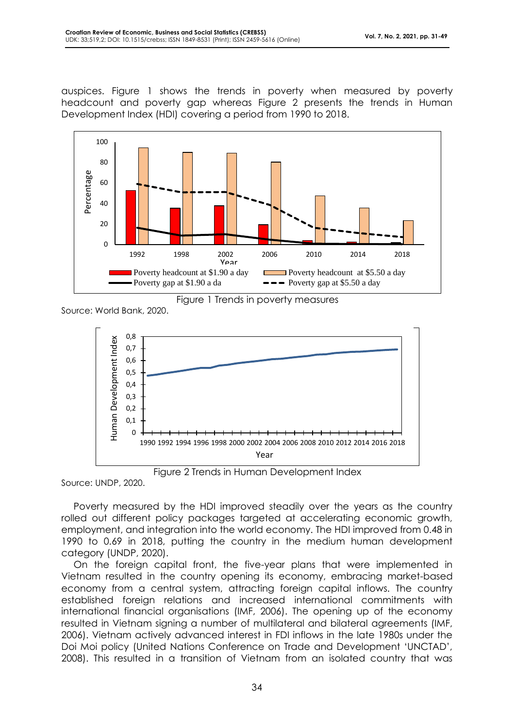auspices. Figure 1 shows the trends in poverty when measured by poverty headcount and poverty gap whereas Figure 2 presents the trends in Human Development Index (HDI) covering a period from 1990 to 2018.



Figure 1 Trends in poverty measures

Source: World Bank, 2020.



Figure 2 Trends in Human Development Index

Source: UNDP, 2020.

Poverty measured by the HDI improved steadily over the years as the country rolled out different policy packages targeted at accelerating economic growth, employment, and integration into the world economy. The HDI improved from 0.48 in 1990 to 0.69 in 2018, putting the country in the medium human development category (UNDP, 2020).

On the foreign capital front, the five-year plans that were implemented in Vietnam resulted in the country opening its economy, embracing market-based economy from a central system, attracting foreign capital inflows. The country established foreign relations and increased international commitments with international financial organisations (IMF, 2006). The opening up of the economy resulted in Vietnam signing a number of multilateral and bilateral agreements (IMF, 2006). Vietnam actively advanced interest in FDI inflows in the late 1980s under the Doi Moi policy (United Nations Conference on Trade and Development 'UNCTAD', 2008). This resulted in a transition of Vietnam from an isolated country that was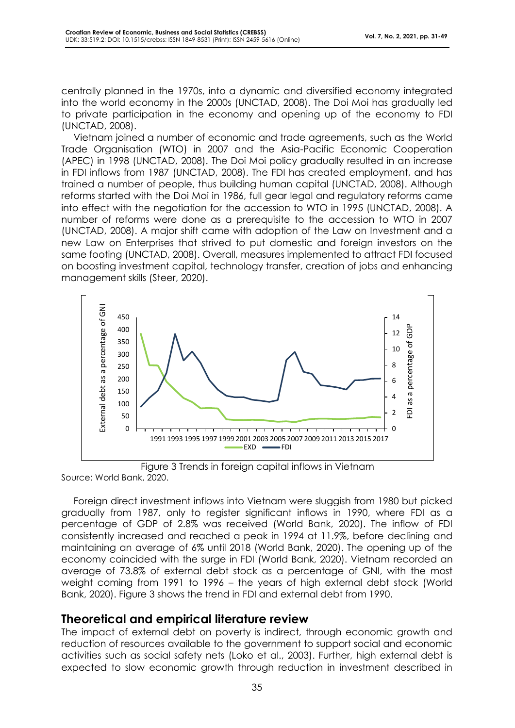centrally planned in the 1970s, into a dynamic and diversified economy integrated into the world economy in the 2000s (UNCTAD, 2008). The Doi Moi has gradually led to private participation in the economy and opening up of the economy to FDI (UNCTAD, 2008).

Vietnam joined a number of economic and trade agreements, such as the World Trade Organisation (WTO) in 2007 and the Asia-Pacific Economic Cooperation (APEC) in 1998 (UNCTAD, 2008). The Doi Moi policy gradually resulted in an increase in FDI inflows from 1987 (UNCTAD, 2008). The FDI has created employment, and has trained a number of people, thus building human capital (UNCTAD, 2008). Although reforms started with the Doi Moi in 1986, full gear legal and regulatory reforms came into effect with the negotiation for the accession to WTO in 1995 (UNCTAD, 2008). A number of reforms were done as a prerequisite to the accession to WTO in 2007 (UNCTAD, 2008). A major shift came with adoption of the Law on Investment and a new Law on Enterprises that strived to put domestic and foreign investors on the same footing (UNCTAD, 2008). Overall, measures implemented to attract FDI focused on boosting investment capital, technology transfer, creation of jobs and enhancing management skills (Steer, 2020).



Figure 3 Trends in foreign capital inflows in Vietnam Source: World Bank, 2020.

Foreign direct investment inflows into Vietnam were sluggish from 1980 but picked gradually from 1987, only to register significant inflows in 1990, where FDI as a percentage of GDP of 2.8% was received (World Bank, 2020). The inflow of FDI consistently increased and reached a peak in 1994 at 11.9%, before declining and maintaining an average of 6% until 2018 (World Bank, 2020). The opening up of the economy coincided with the surge in FDI (World Bank, 2020). Vietnam recorded an average of 73.8% of external debt stock as a percentage of GNI, with the most weight coming from 1991 to 1996 – the years of high external debt stock (World Bank, 2020). Figure 3 shows the trend in FDI and external debt from 1990.

### **Theoretical and empirical literature review**

The impact of external debt on poverty is indirect, through economic growth and reduction of resources available to the government to support social and economic activities such as social safety nets (Loko et al., 2003). Further, high external debt is expected to slow economic growth through reduction in investment described in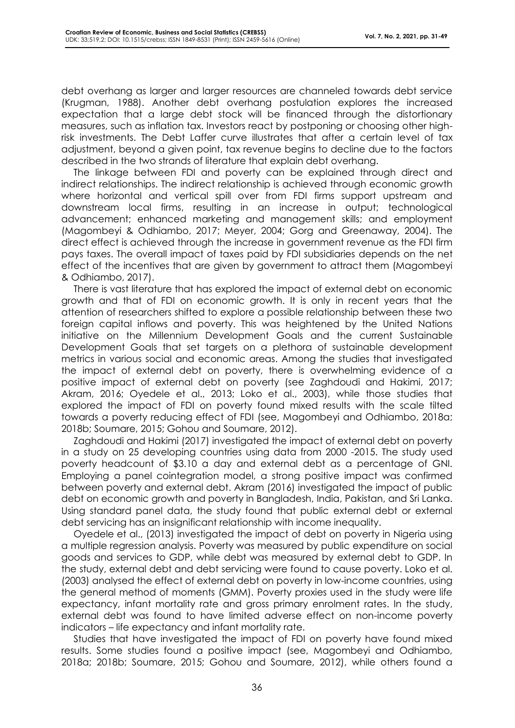debt overhang as larger and larger resources are channeled towards debt service (Krugman, 1988). Another debt overhang postulation explores the increased expectation that a large debt stock will be financed through the distortionary measures, such as inflation tax. Investors react by postponing or choosing other highrisk investments. The Debt Laffer curve illustrates that after a certain level of tax adjustment, beyond a given point, tax revenue begins to decline due to the factors described in the two strands of literature that explain debt overhang.

The linkage between FDI and poverty can be explained through direct and indirect relationships. The indirect relationship is achieved through economic growth where horizontal and vertical spill over from FDI firms support upstream and downstream local firms, resulting in an increase in output; technological advancement; enhanced marketing and management skills; and employment (Magombeyi & Odhiambo, 2017; Meyer, 2004; Gorg and Greenaway, 2004). The direct effect is achieved through the increase in government revenue as the FDI firm pays taxes. The overall impact of taxes paid by FDI subsidiaries depends on the net effect of the incentives that are given by government to attract them (Magombeyi & Odhiambo, 2017).

There is vast literature that has explored the impact of external debt on economic growth and that of FDI on economic growth. It is only in recent years that the attention of researchers shifted to explore a possible relationship between these two foreign capital inflows and poverty. This was heightened by the United Nations initiative on the Millennium Development Goals and the current Sustainable Development Goals that set targets on a plethora of sustainable development metrics in various social and economic areas. Among the studies that investigated the impact of external debt on poverty, there is overwhelming evidence of a positive impact of external debt on poverty (see Zaghdoudi and Hakimi, 2017; Akram, 2016; Oyedele et al., 2013; Loko et al., 2003), while those studies that explored the impact of FDI on poverty found mixed results with the scale tilted towards a poverty reducing effect of FDI (see, Magombeyi and Odhiambo, 2018a; 2018b; Soumare, 2015; Gohou and Soumare, 2012).

Zaghdoudi and Hakimi (2017) investigated the impact of external debt on poverty in a study on 25 developing countries using data from 2000 -2015. The study used poverty headcount of \$3.10 a day and external debt as a percentage of GNI. Employing a panel cointegration model, a strong positive impact was confirmed between poverty and external debt. Akram (2016) investigated the impact of public debt on economic growth and poverty in Bangladesh, India, Pakistan, and Sri Lanka. Using standard panel data, the study found that public external debt or external debt servicing has an insignificant relationship with income inequality.

Oyedele et al., (2013) investigated the impact of debt on poverty in Nigeria using a multiple regression analysis. Poverty was measured by public expenditure on social goods and services to GDP, while debt was measured by external debt to GDP. In the study, external debt and debt servicing were found to cause poverty. Loko et al. (2003) analysed the effect of external debt on poverty in low-income countries, using the general method of moments (GMM). Poverty proxies used in the study were life expectancy, infant mortality rate and gross primary enrolment rates. In the study, external debt was found to have limited adverse effect on non-income poverty indicators – life expectancy and infant mortality rate.

Studies that have investigated the impact of FDI on poverty have found mixed results. Some studies found a positive impact (see, Magombeyi and Odhiambo, 2018a; 2018b; Soumare, 2015; Gohou and Soumare, 2012), while others found a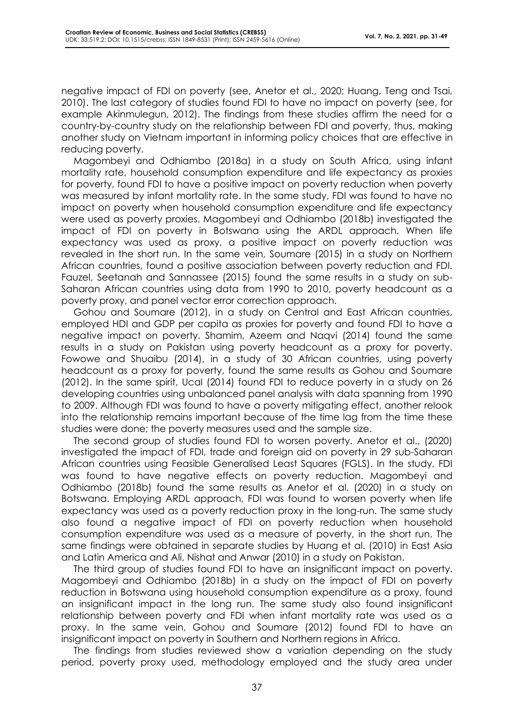negative impact of FDI on poverty (see, Anetor et al., 2020; Huang, Teng and Tsai, 2010). The last category of studies found FDI to have no impact on poverty (see, for example Akinmulegun, 2012). The findings from these studies affirm the need for a country-by-country study on the relationship between FDI and poverty, thus, making another study on Vietnam important in informing policy choices that are effective in reducing poverty.

Magombeyi and Odhiambo (2018a) in a study on South Africa, using infant mortality rate, household consumption expenditure and life expectancy as proxies for poverty, found FDI to have a positive impact on poverty reduction when poverty was measured by infant mortality rate. In the same study, FDI was found to have no impact on poverty when household consumption expenditure and life expectancy were used as poverty proxies. Magombeyi and Odhiambo (2018b) investigated the impact of FDI on poverty in Botswana using the ARDL approach. When life expectancy was used as proxy, a positive impact on poverty reduction was revealed in the short run. In the same vein, Soumare (2015) in a study on Northern African countries, found a positive association between poverty reduction and FDI. Fauzel, Seetanah and Sannassee (2015) found the same results in a study on sub-Saharan African countries using data from 1990 to 2010, poverty headcount as a poverty proxy, and panel vector error correction approach.

Gohou and Soumare (2012), in a study on Central and East African countries, employed HDI and GDP per capita as proxies for poverty and found FDI to have a negative impact on poverty. Shamim, Azeem and Naqvi (2014) found the same results in a study on Pakistan using poverty headcount as a proxy for poverty. Fowowe and Shuaibu (2014), in a study of 30 African countries, using poverty headcount as a proxy for poverty, found the same results as Gohou and Soumare (2012). In the same spirit, Ucal (2014) found FDI to reduce poverty in a study on 26 developing countries using unbalanced panel analysis with data spanning from 1990 to 2009. Although FDI was found to have a poverty mitigating effect, another relook into the relationship remains important because of the time lag from the time these studies were done; the poverty measures used and the sample size.

The second group of studies found FDI to worsen poverty. Anetor et al., (2020) investigated the impact of FDI, trade and foreign aid on poverty in 29 sub-Saharan African countries using Feasible Generalised Least Squares (FGLS). In the study, FDI was found to have negative effects on poverty reduction. Magombeyi and Odhiambo (2018b) found the same results as Anetor et al. (2020) in a study on Botswana. Employing ARDL approach, FDI was found to worsen poverty when life expectancy was used as a poverty reduction proxy in the long-run. The same study also found a negative impact of FDI on poverty reduction when household consumption expenditure was used as a measure of poverty, in the short run. The same findings were obtained in separate studies by Huang et al. (2010) in East Asia and Latin America and Ali, Nishat and Anwar (2010) in a study on Pakistan.

The third group of studies found FDI to have an insignificant impact on poverty. Magombeyi and Odhiambo (2018b) in a study on the impact of FDI on poverty reduction in Botswana using household consumption expenditure as a proxy, found an insignificant impact in the long run. The same study also found insignificant relationship between poverty and FDI when infant mortality rate was used as a proxy. In the same vein, Gohou and Soumare (2012) found FDI to have an insignificant impact on poverty in Southern and Northern regions in Africa.

The findings from studies reviewed show a variation depending on the study period, poverty proxy used, methodology employed and the study area under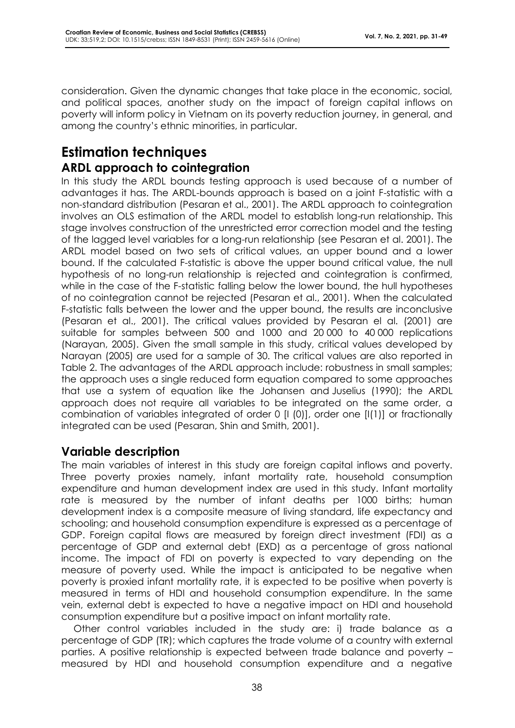consideration. Given the dynamic changes that take place in the economic, social, and political spaces, another study on the impact of foreign capital inflows on poverty will inform policy in Vietnam on its poverty reduction journey, in general, and among the country's ethnic minorities, in particular.

# **Estimation techniques ARDL approach to cointegration**

In this study the ARDL bounds testing approach is used because of a number of advantages it has. The ARDL-bounds approach is based on a joint F-statistic with a non-standard distribution (Pesaran et al., 2001). The ARDL approach to cointegration involves an OLS estimation of the ARDL model to establish long-run relationship. This stage involves construction of the unrestricted error correction model and the testing of the lagged level variables for a long-run relationship (see Pesaran et al. 2001). The ARDL model based on two sets of critical values, an upper bound and a lower bound. If the calculated F-statistic is above the upper bound critical value, the null hypothesis of no long-run relationship is rejected and cointegration is confirmed, while in the case of the F-statistic falling below the lower bound, the hull hypotheses of no cointegration cannot be rejected (Pesaran et al., 2001). When the calculated F-statistic falls between the lower and the upper bound, the results are inconclusive (Pesaran et al., 2001). The critical values provided by Pesaran el al. (2001) are suitable for samples between 500 and 1000 and 20 000 to 40 000 replications (Narayan, 2005). Given the small sample in this study, critical values developed by Narayan (2005) are used for a sample of 30. The critical values are also reported in Table 2. The advantages of the ARDL approach include: robustness in small samples; the approach uses a single reduced form equation compared to some approaches that use a system of equation like the Johansen and Juselius (1990); the ARDL approach does not require all variables to be integrated on the same order, a combination of variables integrated of order 0 [I (0)], order one [I(1)] or fractionally integrated can be used (Pesaran, Shin and Smith, 2001).

### **Variable description**

The main variables of interest in this study are foreign capital inflows and poverty. Three poverty proxies namely, infant mortality rate, household consumption expenditure and human development index are used in this study. Infant mortality rate is measured by the number of infant deaths per 1000 births; human development index is a composite measure of living standard, life expectancy and schooling; and household consumption expenditure is expressed as a percentage of GDP. Foreign capital flows are measured by foreign direct investment (FDI) as a percentage of GDP and external debt (EXD) as a percentage of gross national income. The impact of FDI on poverty is expected to vary depending on the measure of poverty used. While the impact is anticipated to be negative when poverty is proxied infant mortality rate, it is expected to be positive when poverty is measured in terms of HDI and household consumption expenditure. In the same vein, external debt is expected to have a negative impact on HDI and household consumption expenditure but a positive impact on infant mortality rate.

Other control variables included in the study are: i) trade balance as a percentage of GDP (TR); which captures the trade volume of a country with external parties. A positive relationship is expected between trade balance and poverty – measured by HDI and household consumption expenditure and a negative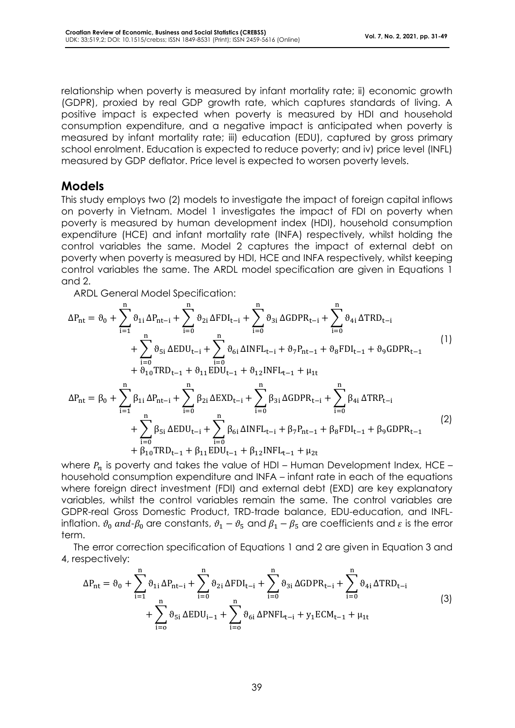relationship when poverty is measured by infant mortality rate; ii) economic growth (GDPR), proxied by real GDP growth rate, which captures standards of living. A positive impact is expected when poverty is measured by HDI and household consumption expenditure, and a negative impact is anticipated when poverty is measured by infant mortality rate; iii) education (EDU), captured by gross primary school enrolment. Education is expected to reduce poverty; and iv) price level (INFL) measured by GDP deflator. Price level is expected to worsen poverty levels.

### **Models**

This study employs two (2) models to investigate the impact of foreign capital inflows on poverty in Vietnam. Model 1 investigates the impact of FDI on poverty when poverty is measured by human development index (HDI), household consumption expenditure (HCE) and infant mortality rate (INFA) respectively, whilst holding the control variables the same. Model 2 captures the impact of external debt on poverty when poverty is measured by HDI, HCE and INFA respectively, whilst keeping control variables the same. The ARDL model specification are given in Equations 1 and 2.

ARDL General Model Specification:

$$
\Delta P_{nt} = \vartheta_{0} + \sum_{i=1}^{n} \vartheta_{1i} \Delta P_{nt-i} + \sum_{i=0}^{n} \vartheta_{2i} \Delta FDI_{t-i} + \sum_{i=0}^{n} \vartheta_{3i} \Delta GDPR_{t-i} + \sum_{i=0}^{n} \vartheta_{4i} \Delta TRD_{t-i} + \sum_{i=0}^{n} \vartheta_{5i} \Delta EDU_{t-i} + \sum_{i=0}^{n} \vartheta_{6i} \Delta INFL_{t-i} + \vartheta_{7} P_{nt-1} + \vartheta_{8} FDI_{t-1} + \vartheta_{9} GDPR_{t-1} + \vartheta_{10} TRD_{t-1} + \vartheta_{11} EDU_{t-1} + \vartheta_{12} INFL_{t-1} + \mu_{1t} + \Delta P_{nt} = \beta_{0} + \sum_{i=1}^{n} \beta_{1i} \Delta P_{nt-i} + \sum_{i=0}^{n} \beta_{2i} \Delta EXD_{t-i} + \sum_{i=0}^{n} \beta_{3i} \Delta GDPR_{t-i} + \sum_{i=0}^{n} \beta_{4i} \Delta TRP_{t-i} + \sum_{i=0}^{n} \beta_{5i} \Delta EDU_{t-i} + \sum_{i=0}^{n} \beta_{6i} \Delta INFL_{t-i} + \beta_{7} P_{nt-1} + \beta_{8} FDI_{t-1} + \beta_{9} GDPR_{t-1}
$$
\n(2)

where  $P_n$  is poverty and takes the value of HDI – Human Development Index, HCE – household consumption expenditure and INFA – infant rate in each of the equations where foreign direct investment (FDI) and external debt (EXD) are key explanatory variables, whilst the control variables remain the same. The control variables are GDPR-real Gross Domestic Product, TRD-trade balance, EDU-education, and INFLinflation.  $\vartheta_0$  and- $\beta_0$  are constants,  $\vartheta_1 - \vartheta_5$  and  $\beta_1 - \beta_5$  are coefficients and  $\varepsilon$  is the error term.

The error correction specification of Equations 1 and 2 are given in Equation 3 and 4, respectively:

$$
\Delta P_{nt} = \vartheta_0 + \sum_{i=1}^{n} \vartheta_{1i} \Delta P_{nt-i} + \sum_{i=0}^{n} \vartheta_{2i} \Delta FDI_{t-i} + \sum_{i=0}^{n} \vartheta_{3i} \Delta GDPR_{t-i} + \sum_{i=0}^{n} \vartheta_{4i} \Delta TRD_{t-i} + \sum_{i=0}^{n} \vartheta_{5i} \Delta EDU_{i-1} + \sum_{i=0}^{n} \vartheta_{6i} \Delta PNFL_{t-i} + y_1 ECM_{t-1} + \mu_{1t}
$$
\n(3)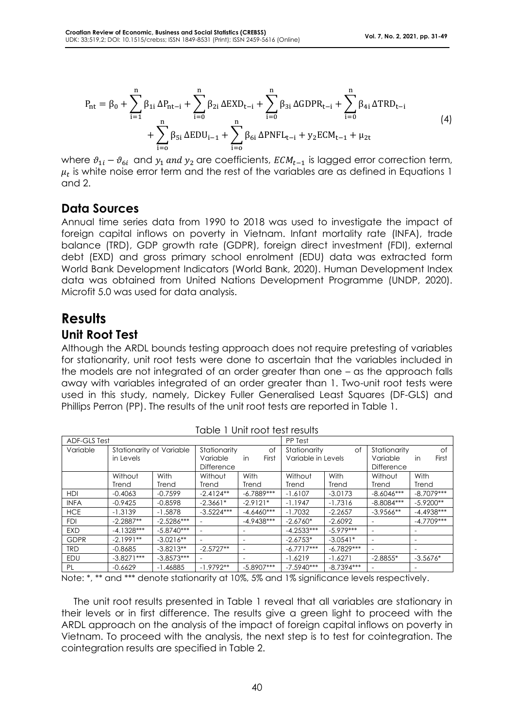$$
P_{nt} = \beta_0 + \sum_{i=1}^{n} \beta_{1i} \Delta P_{nt-i} + \sum_{i=0}^{n} \beta_{2i} \Delta EXD_{t-i} + \sum_{i=0}^{n} \beta_{3i} \Delta GDPR_{t-i} + \sum_{i=0}^{n} \beta_{4i} \Delta TRD_{t-i} + \sum_{i=0}^{n} \beta_{5i} \Delta EDU_{i-1} + \sum_{i=0}^{n} \beta_{6i} \Delta PNFL_{t-i} + y_2 ECM_{t-1} + \mu_{2t}
$$
\n
$$
(4)
$$

where  $\vartheta_{1i} - \vartheta_{6i}$  and  $y_1$  and  $y_2$  are coefficients,  $ECM_{t-1}$  is lagged error correction term,  $\mu_t$  is white noise error term and the rest of the variables are as defined in Equations 1 and 2.

### **Data Sources**

Annual time series data from 1990 to 2018 was used to investigate the impact of foreign capital inflows on poverty in Vietnam. Infant mortality rate (INFA), trade balance (TRD), GDP growth rate (GDPR), foreign direct investment (FDI), external debt (EXD) and gross primary school enrolment (EDU) data was extracted form World Bank Development Indicators (World Bank, 2020). Human Development Index data was obtained from United Nations Development Programme (UNDP, 2020). Microfit 5.0 was used for data analysis.

# **Results**

### **Unit Root Test**

Although the ARDL bounds testing approach does not require pretesting of variables for stationarity, unit root tests were done to ascertain that the variables included in the models are not integrated of an order greater than one – as the approach falls away with variables integrated of an order greater than 1. Two-unit root tests were used in this study, namely, Dickey Fuller Generalised Least Squares (DF-GLS) and Phillips Perron (PP). The results of the unit root tests are reported in Table 1.

| <b>ADF-GLS Test</b> |              |                          |                          |                    | PP Test            |                    |              |                    |
|---------------------|--------------|--------------------------|--------------------------|--------------------|--------------------|--------------------|--------------|--------------------|
| Variable            |              | Stationarity of Variable |                          | Stationarity<br>Оf |                    | Stationarity<br>of |              | Stationarity<br>Οf |
|                     | in Levels    |                          | Variable                 | First<br>in        | Variable in Levels |                    | Variable     | in<br>First        |
|                     |              |                          | <b>Difference</b>        |                    |                    |                    |              |                    |
|                     | Without      | With                     | Without                  | With               | Without            | With               | Without      | With               |
|                     | Trend        | Trend                    | Trend                    | Trend              | Trend              | Trend              | Trend        | Trend              |
| <b>HDI</b>          | $-0.4063$    | $-0.7599$                | $-2.4124**$              | $-6.7889***$       | $-1.6107$          | $-3.0173$          | $-8.6046***$ | $-8.7079***$       |
| <b>INFA</b>         | $-0.9425$    | $-0.8598$                | $-2.3661*$               | $-2.9121*$         | $-1.1947$          | $-1.7316$          | $-8.8084***$ | $-5.9200**$        |
| <b>HCE</b>          | $-1.3139$    | $-1.5878$                | $-3.5224***$             | $-4.6460***$       | $-1.7032$          | $-2.2657$          | $-3.9566**$  | $-4.4938***$       |
| <b>FDI</b>          | $-2.2887**$  | $-2.5286***$             |                          | $-4.9438***$       | $-2.6760*$         | $-2.6092$          |              | $-4.7709***$       |
| <b>EXD</b>          | $-4.1328***$ | $-5.8740***$             | $\overline{\phantom{a}}$ |                    | $-4.2533***$       | $-5.979***$        |              |                    |
| <b>GDPR</b>         | $-2.1991**$  | $-3.0216**$              |                          |                    | $-2.6753*$         | $-3.0541*$         |              |                    |
| <b>TRD</b>          | $-0.8685$    | $-3.8213**$              | $-2.5727**$              |                    | $-6.7717***$       | $-6.7829***$       |              |                    |
| EDU                 | $-3.8271***$ | $-3.8573***$             |                          |                    | $-1.6219$          | $-1.6271$          | $-2.8855*$   | $-3.5676*$         |
| PL                  | $-0.6629$    | $-1.46885$               | $-1.9792**$              | $-5.8907***$       | $-7.5940***$       | $-8.7394***$       |              |                    |

|--|

Note: \*, \*\* and \*\*\* denote stationarity at 10%, 5% and 1% significance levels respectively.

The unit root results presented in Table 1 reveal that all variables are stationary in their levels or in first difference. The results give a green light to proceed with the ARDL approach on the analysis of the impact of foreign capital inflows on poverty in Vietnam. To proceed with the analysis, the next step is to test for cointegration. The cointegration results are specified in Table 2.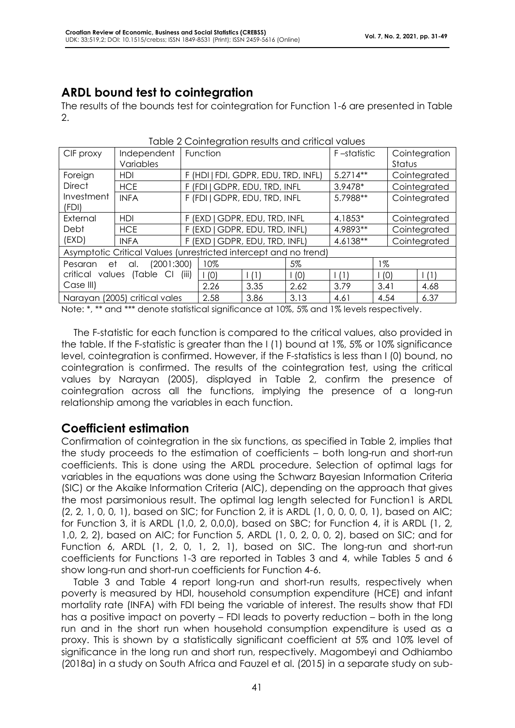### **ARDL bound test to cointegration**

The results of the bounds test for cointegration for Function 1-6 are presented in Table 2.

| <u>Napid 2 Obimbyrahon nosons ania ohnodr raibos</u> |                                                                  |                                |                                     |             |          |                         |              |              |              |
|------------------------------------------------------|------------------------------------------------------------------|--------------------------------|-------------------------------------|-------------|----------|-------------------------|--------------|--------------|--------------|
| CIF proxy                                            | Independent<br>Variables                                         |                                | Function                            | F-statistic |          | Cointegration<br>Status |              |              |              |
| Foreign                                              | HDI                                                              |                                | F (HDI   FDI, GDPR, EDU, TRD, INFL) | $5.2714**$  |          | Cointegrated            |              |              |              |
| <b>Direct</b>                                        | <b>HCE</b>                                                       |                                | F (FDI   GDPR, EDU, TRD, INFL       |             |          | 3.9478*                 |              |              | Cointegrated |
| Investment<br>(FDI)                                  | <b>INFA</b>                                                      |                                | F (FDI   GDPR, EDU, TRD, INFL       |             |          | 5.7988**                |              | Cointegrated |              |
| External                                             | HDI                                                              |                                | F (EXD   GDPR, EDU, TRD, INFL       |             |          | 4.1853*                 |              | Cointegrated |              |
| Debt                                                 | <b>HCE</b>                                                       |                                | F (EXD   GDPR, EDU, TRD, INFL)      | 4.9893**    |          | Cointegrated            |              |              |              |
| (EXD)                                                | <b>INFA</b>                                                      | F (EXD   GDPR, EDU, TRD, INFL) |                                     |             | 4.6138** |                         | Cointegrated |              |              |
|                                                      | Asymptotic Critical Values (unrestricted intercept and no trend) |                                |                                     |             |          |                         |              |              |              |
| (2001:300)<br>et<br>al.<br>Pesaran                   |                                                                  |                                | 10%                                 |             | 5%       |                         | 1%           |              |              |
| (Table CI<br>critical values<br>(iii)                |                                                                  |                                | 1(0)                                | (1)         | (0)      | (1)                     | (0)          |              | (1)          |
| Case III)                                            |                                                                  |                                | 2.26                                | 3.35        | 2.62     | 3.79                    | 3.41         |              | 4.68         |
|                                                      | Narayan (2005) critical vales                                    |                                | 2.58                                | 3.86        | 3.13     | 4.61                    | 4.54         |              | 6.37         |

Table 2 Cointegration results and critical values

Note: \*, \*\* and \*\*\* denote statistical significance at 10%, 5% and 1% levels respectively.

The F-statistic for each function is compared to the critical values, also provided in the table. If the F-statistic is greater than the I (1) bound at 1%, 5% or 10% significance level, cointegration is confirmed. However, if the F-statistics is less than I (0) bound, no cointegration is confirmed. The results of the cointegration test, using the critical values by Narayan (2005), displayed in Table 2, confirm the presence of cointegration across all the functions, implying the presence of a long-run relationship among the variables in each function.

### **Coefficient estimation**

Confirmation of cointegration in the six functions, as specified in Table 2, implies that the study proceeds to the estimation of coefficients – both long-run and short-run coefficients. This is done using the ARDL procedure. Selection of optimal lags for variables in the equations was done using the Schwarz Bayesian Information Criteria (SIC) or the Akaike Information Criteria (AIC), depending on the approach that gives the most parsimonious result. The optimal lag length selected for Function1 is ARDL (2, 2, 1, 0, 0, 1), based on SIC; for Function 2, it is ARDL (1, 0, 0, 0, 0, 1), based on AIC; for Function 3, it is ARDL (1,0, 2, 0,0,0), based on SBC; for Function 4, it is ARDL (1, 2, 1,0, 2, 2), based on AIC; for Function 5, ARDL (1, 0, 2, 0, 0, 2), based on SIC; and for Function 6, ARDL (1, 2, 0, 1, 2, 1), based on SIC. The long-run and short-run coefficients for Functions 1-3 are reported in Tables 3 and 4, while Tables 5 and 6 show long-run and short-run coefficients for Function 4-6.

Table 3 and Table 4 report long-run and short-run results, respectively when poverty is measured by HDI, household consumption expenditure (HCE) and infant mortality rate (INFA) with FDI being the variable of interest. The results show that FDI has a positive impact on poverty – FDI leads to poverty reduction – both in the long run and in the short run when household consumption expenditure is used as a proxy. This is shown by a statistically significant coefficient at 5% and 10% level of significance in the long run and short run, respectively. Magombeyi and Odhiambo (2018a) in a study on South Africa and Fauzel et al. (2015) in a separate study on sub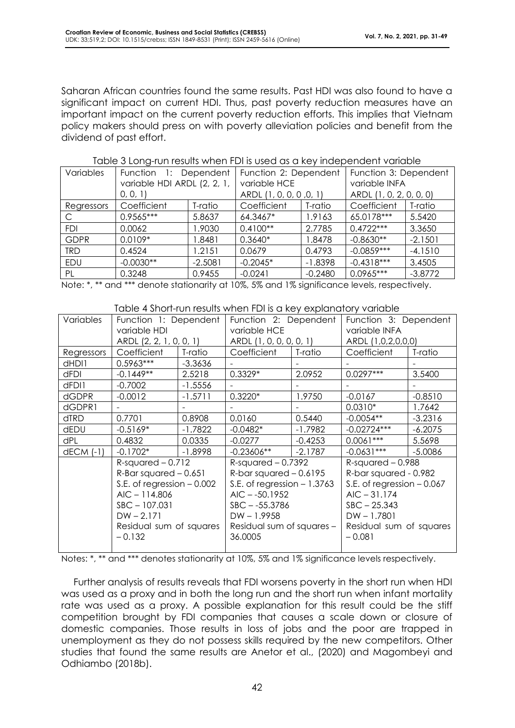Saharan African countries found the same results. Past HDI was also found to have a significant impact on current HDI. Thus, past poverty reduction measures have an important impact on the current poverty reduction efforts. This implies that Vietnam policy makers should press on with poverty alleviation policies and benefit from the dividend of past effort.

| Variables   | Dependent<br>Function 1:<br>variable HDI ARDL (2, 2, 1,<br>(0, 0, 1) |           | Function 2: Dependent<br>variable HCE<br>ARDL (1, 0, 0, 0, 0, 1) |           | Function 3: Dependent<br>variable INFA<br>ARDL (1, 0, 2, 0, 0, 0) |           |
|-------------|----------------------------------------------------------------------|-----------|------------------------------------------------------------------|-----------|-------------------------------------------------------------------|-----------|
| Regressors  | Coefficient                                                          | T-ratio   | Coefficient                                                      | T-ratio   | Coefficient                                                       | T-ratio   |
| C           | $0.9565***$                                                          | 5.8637    | 64.3467*                                                         | 1.9163    | 65.0178***                                                        | 5.5420    |
| <b>FDI</b>  | 0.0062                                                               | 1.9030    | $0.4100**$                                                       | 2.7785    | $0.4722***$                                                       | 3.3650    |
| <b>GDPR</b> | $0.0109*$                                                            | 8481. ا   | $0.3640*$                                                        | 1.8478    | $-0.8630**$                                                       | $-2.1501$ |
| <b>TRD</b>  | 0.4524                                                               | 1.2151    | 0.0679                                                           | 0.4793    | $-0.0859***$                                                      | $-4.1510$ |
| <b>EDU</b>  | $-0.0030**$                                                          | $-2.5081$ | $-0.2045*$                                                       | $-1.8398$ | $-0.4318***$                                                      | 3.4505    |
| PL          | 0.3248                                                               | 0.9455    | $-0.0241$                                                        | $-0.2480$ | $0.0965***$                                                       | $-3.8772$ |

#### Table 3 Long-run results when FDI is used as a key independent variable

Note: \*, \*\* and \*\*\* denote stationarity at 10%, 5% and 1% significance levels, respectively.

#### Table 4 Short-run results when FDI is a key explanatory variable

|               |                                                            |           | <u>POND TURN MUSCUL MUSCULI DI DU ANDI CAPIGNONI TURNI TURNO</u> |           |                             |                    |  |
|---------------|------------------------------------------------------------|-----------|------------------------------------------------------------------|-----------|-----------------------------|--------------------|--|
| Variables     | Function 1: Dependent                                      |           | Function 2: Dependent                                            |           | Function 3: Dependent       |                    |  |
|               | variable HDI                                               |           | variable HCE                                                     |           | variable INFA               |                    |  |
|               | ARDL (2, 2, 1, 0, 0, 1)                                    |           | ARDL (1, 0, 0, 0, 0, 1)                                          |           |                             | ARDL (1,0,2,0,0,0) |  |
| Regressors    | Coefficient                                                | T-ratio   | Coefficient                                                      | T-ratio   | Coefficient                 | T-ratio            |  |
| dHDI1         | $0.5963***$                                                | $-3.3636$ |                                                                  |           |                             |                    |  |
| dFDI          | $-0.1449**$                                                | 2.5218    | $0.3329*$                                                        | 2.0952    | $0.0297***$                 | 3.5400             |  |
| dFDI1         | $-0.7002$                                                  | $-1.5556$ |                                                                  |           |                             |                    |  |
| <b>dGDPR</b>  | $-0.0012$                                                  | $-1.5711$ | $0.3220*$                                                        | 1.9750    | $-0.0167$                   | $-0.8510$          |  |
| dGDPR1        |                                                            |           |                                                                  |           | $0.0310*$                   | 1.7642             |  |
| <b>dTRD</b>   | 0.7701                                                     | 0.8908    | 0.0160                                                           | 0.5440    | $-0.0054**$                 | $-3.2316$          |  |
| dEDU          | $-0.5169*$                                                 | $-1.7822$ | $-0.0482*$                                                       | $-1.7982$ | $-0.02724***$               | $-6.2075$          |  |
| dPL           | 0.4832                                                     | 0.0335    | $-0.0277$                                                        | $-0.4253$ | $0.0061***$                 | 5.5698             |  |
| $dECM$ $(-1)$ | $-0.1702*$                                                 | $-1.8998$ | $-0.23606**$                                                     | $-2.1787$ | $-0.0631***$                | $-5.0086$          |  |
|               | $R$ -squared $-0.712$                                      |           | $R$ -squared $-0.7392$                                           |           | $R$ -squared $-0.988$       |                    |  |
|               | $R$ -Bar squared $-0.651$                                  |           | $R$ -bar squared $- 0.6195$<br>S.E. of regression $-1.3763$      |           | R-bar squared - 0.982       |                    |  |
|               | S.E. of regression $-0.002$                                |           |                                                                  |           | S.E. of regression $-0.067$ |                    |  |
|               | $AIC - 114.806$                                            |           | $AIC - -50.1952$                                                 |           | $AIC - 31.174$              |                    |  |
|               | $SBC - 107.031$<br>$DW - 2.171$<br>Residual sum of squares |           | $SBC - -55.3786$                                                 |           | $SBC - 25.343$              |                    |  |
|               |                                                            |           | $DW - 1.9958$                                                    |           | $DW - 1.7801$               |                    |  |
|               |                                                            |           | Residual sum of squares -                                        |           | Residual sum of squares     |                    |  |
|               | $-0.132$                                                   |           | 36.0005                                                          |           | $-0.081$                    |                    |  |
|               |                                                            |           |                                                                  |           |                             |                    |  |

Notes: \*, \*\* and \*\*\* denotes stationarity at 10%, 5% and 1% significance levels respectively.

Further analysis of results reveals that FDI worsens poverty in the short run when HDI was used as a proxy and in both the long run and the short run when infant mortality rate was used as a proxy. A possible explanation for this result could be the stiff competition brought by FDI companies that causes a scale down or closure of domestic companies. Those results in loss of jobs and the poor are trapped in unemployment as they do not possess skills required by the new competitors. Other studies that found the same results are Anetor et al., (2020) and Magombeyi and Odhiambo (2018b).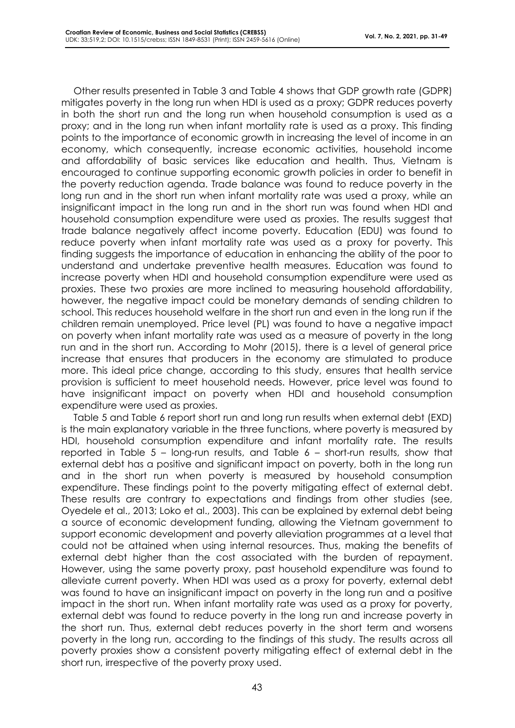Other results presented in Table 3 and Table 4 shows that GDP growth rate (GDPR) mitigates poverty in the long run when HDI is used as a proxy; GDPR reduces poverty in both the short run and the long run when household consumption is used as a proxy; and in the long run when infant mortality rate is used as a proxy. This finding points to the importance of economic growth in increasing the level of income in an economy, which consequently, increase economic activities, household income and affordability of basic services like education and health. Thus, Vietnam is encouraged to continue supporting economic growth policies in order to benefit in the poverty reduction agenda. Trade balance was found to reduce poverty in the long run and in the short run when infant mortality rate was used a proxy, while an insignificant impact in the long run and in the short run was found when HDI and household consumption expenditure were used as proxies. The results suggest that trade balance negatively affect income poverty. Education (EDU) was found to reduce poverty when infant mortality rate was used as a proxy for poverty. This finding suggests the importance of education in enhancing the ability of the poor to understand and undertake preventive health measures. Education was found to increase poverty when HDI and household consumption expenditure were used as proxies. These two proxies are more inclined to measuring household affordability, however, the negative impact could be monetary demands of sending children to school. This reduces household welfare in the short run and even in the long run if the children remain unemployed. Price level (PL) was found to have a negative impact on poverty when infant mortality rate was used as a measure of poverty in the long run and in the short run. According to Mohr (2015), there is a level of general price increase that ensures that producers in the economy are stimulated to produce more. This ideal price change, according to this study, ensures that health service provision is sufficient to meet household needs. However, price level was found to have insignificant impact on poverty when HDI and household consumption expenditure were used as proxies.

Table 5 and Table 6 report short run and long run results when external debt (EXD) is the main explanatory variable in the three functions, where poverty is measured by HDI, household consumption expenditure and infant mortality rate. The results reported in Table 5 – long-run results, and Table 6 – short-run results, show that external debt has a positive and significant impact on poverty, both in the long run and in the short run when poverty is measured by household consumption expenditure. These findings point to the poverty mitigating effect of external debt. These results are contrary to expectations and findings from other studies (see, Oyedele et al., 2013; Loko et al., 2003). This can be explained by external debt being a source of economic development funding, allowing the Vietnam government to support economic development and poverty alleviation programmes at a level that could not be attained when using internal resources. Thus, making the benefits of external debt higher than the cost associated with the burden of repayment. However, using the same poverty proxy, past household expenditure was found to alleviate current poverty. When HDI was used as a proxy for poverty, external debt was found to have an insignificant impact on poverty in the long run and a positive impact in the short run. When infant mortality rate was used as a proxy for poverty, external debt was found to reduce poverty in the long run and increase poverty in the short run. Thus, external debt reduces poverty in the short term and worsens poverty in the long run, according to the findings of this study. The results across all poverty proxies show a consistent poverty mitigating effect of external debt in the short run, irrespective of the poverty proxy used.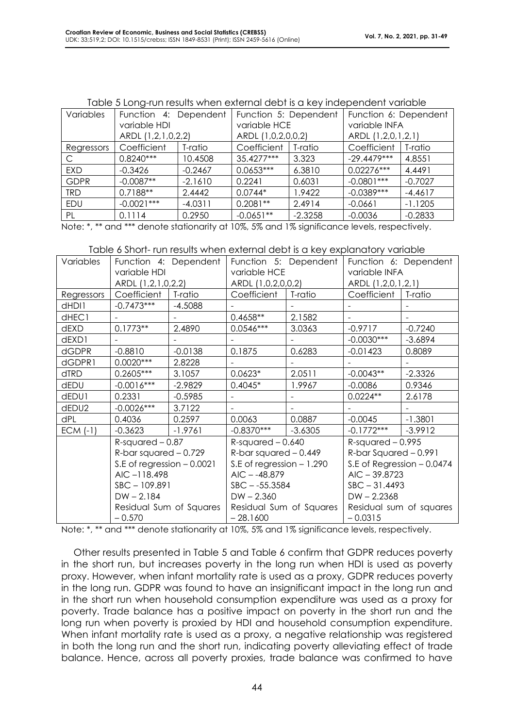| <u>table of Long ton total annon oxionial abbitis a koy inabponability anablo</u> |                       |           |                       |           |                       |           |  |  |
|-----------------------------------------------------------------------------------|-----------------------|-----------|-----------------------|-----------|-----------------------|-----------|--|--|
| Variables                                                                         | Function 4: Dependent |           | Function 5: Dependent |           | Function 6: Dependent |           |  |  |
|                                                                                   | variable HDI          |           | variable HCE          |           | variable INFA         |           |  |  |
|                                                                                   | ARDL (1,2,1,0,2,2)    |           | ARDL (1,0,2,0,0,2)    |           | ARDL (1,2,0,1,2,1)    |           |  |  |
| Regressors                                                                        | Coefficient           | T-ratio   | Coefficient           | T-ratio   | Coefficient           | T-ratio   |  |  |
| С                                                                                 | $0.8240***$           | 10.4508   | 35.4277***            | 3.323     | $-29.4479***$         | 4.8551    |  |  |
| <b>EXD</b>                                                                        | $-0.3426$             | $-0.2467$ | $0.0653***$           | 6.3810    | $0.02276***$          | 4.4491    |  |  |
| <b>GDPR</b>                                                                       | $-0.0087**$           | $-2.1610$ | 0.2241                | 0.6031    | $-0.0801***$          | $-0.7027$ |  |  |
| <b>TRD</b>                                                                        | $0.7188**$            | 2.4442    | $0.0744*$             | 1.9422    | $-0.0389***$          | $-4.4617$ |  |  |
| EDU                                                                               | $-0.0021***$          | $-4.0311$ | $0.2081**$            | 2.4914    | $-0.0661$             | $-1.1205$ |  |  |
| PL                                                                                | 0.1114                | 0.2950    | $-0.0651**$           | $-2.3258$ | $-0.0036$             | $-0.2833$ |  |  |

Table 5 Long-run results when external debt is a key independent variable

Note: \*, \*\* and \*\*\* denote stationarity at 10%, 5% and 1% significance levels, respectively.

| Variables    |                             | Function 4: Dependent   | Function 5: Dependent      |                    |                            | Function 6: Dependent |
|--------------|-----------------------------|-------------------------|----------------------------|--------------------|----------------------------|-----------------------|
|              | variable HDI                |                         | variable HCE               |                    | variable INFA              |                       |
|              | ARDL (1,2,1,0,2,2)          |                         |                            | ARDL (1,0,2,0,0,2) |                            | ARDL (1,2,0,1,2,1)    |
| Regressors   | Coefficient                 | T-ratio                 | Coefficient                | T-ratio            | Coefficient                | T-ratio               |
| dHDI1        | $-0.7473***$                | $-4.5088$               |                            |                    |                            |                       |
| dHEC1        |                             |                         | $0.4658**$                 | 2.1582             |                            |                       |
| dEXD         | $0.1773**$                  | 2.4890                  | $0.0546***$                | 3.0363             | $-0.9717$                  | $-0.7240$             |
| dEXD1        |                             |                         |                            |                    | $-0.0030***$               | $-3.6894$             |
| <b>dGDPR</b> | $-0.8810$                   | $-0.0138$               | 0.1875                     | 0.6283             | $-0.01423$                 | 0.8089                |
| dGDPR1       | $0.0020***$                 | 2.8228                  |                            |                    |                            |                       |
| dTRD         | $0.2605***$                 | 3.1057                  | $0.0623*$                  | 2.0511             | $-0.0043**$                | $-2.3326$             |
| dEDU         | $-0.0016***$                | $-2.9829$               | $0.4045*$                  | 1.9967             | $-0.0086$                  | 0.9346                |
| dEDU1        | 0.2331                      | $-0.5985$               |                            |                    | $0.0224**$                 | 2.6178                |
| dEDU2        | $-0.0026***$                | 3.7122                  |                            |                    |                            |                       |
| dPL          | 0.4036                      | 0.2597                  | 0.0063                     | 0.0887             | $-0.0045$                  | $-1.3801$             |
| $ECM$ (-1)   | $-0.3623$                   | $-1.9761$               | $-0.8370***$               | $-3.6305$          | $-0.1772***$               | $-3.9912$             |
|              | $R$ -squared $-0.87$        |                         | $R$ -squared $-0.640$      |                    | $R$ -squared $-0.995$      |                       |
|              | $R$ -bar squared $-0.729$   |                         | R-bar squared $-0.449$     |                    | $R$ -bar Squared $-0.991$  |                       |
|              | S.E of regression $-0.0021$ |                         | S.E of regression $-1.290$ |                    | S.E of Regression - 0.0474 |                       |
|              | $AIC -118.498$              |                         | $AIC - -48.879$            |                    | $AIC - 39.8723$            |                       |
|              | $SBC - 109.891$             |                         | $SBC - -55.3584$           |                    | $SBC - 31.4493$            |                       |
|              | $DW - 2.184$                |                         | $DW - 2.360$               |                    | $DW - 2.2368$              |                       |
|              |                             | Residual Sum of Squares | Residual Sum of Squares    |                    | Residual sum of squares    |                       |
|              | $-0.570$                    |                         | $-28.1600$                 |                    | $-0.0315$                  |                       |

Note: \*, \*\* and \*\*\* denote stationarity at 10%, 5% and 1% significance levels, respectively.

Other results presented in Table 5 and Table 6 confirm that GDPR reduces poverty in the short run, but increases poverty in the long run when HDI is used as poverty proxy. However, when infant mortality rate is used as a proxy, GDPR reduces poverty in the long run. GDPR was found to have an insignificant impact in the long run and in the short run when household consumption expenditure was used as a proxy for poverty. Trade balance has a positive impact on poverty in the short run and the long run when poverty is proxied by HDI and household consumption expenditure. When infant mortality rate is used as a proxy, a negative relationship was registered in both the long run and the short run, indicating poverty alleviating effect of trade balance. Hence, across all poverty proxies, trade balance was confirmed to have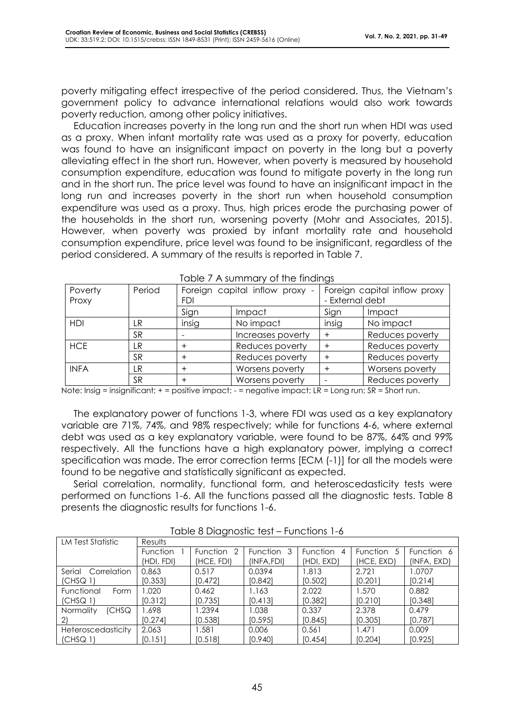poverty mitigating effect irrespective of the period considered. Thus, the Vietnam's government policy to advance international relations would also work towards poverty reduction, among other policy initiatives.

Education increases poverty in the long run and the short run when HDI was used as a proxy. When infant mortality rate was used as a proxy for poverty, education was found to have an insignificant impact on poverty in the long but a poverty alleviating effect in the short run. However, when poverty is measured by household consumption expenditure, education was found to mitigate poverty in the long run and in the short run. The price level was found to have an insignificant impact in the long run and increases poverty in the short run when household consumption expenditure was used as a proxy. Thus, high prices erode the purchasing power of the households in the short run, worsening poverty (Mohr and Associates, 2015). However, when poverty was proxied by infant mortality rate and household consumption expenditure, price level was found to be insignificant, regardless of the period considered. A summary of the results is reported in Table 7.

| Poverty<br>Proxy | Period    | <b>FDI</b> | Foreign capital inflow proxy - | - External debt | Foreign capital inflow proxy |  |  |  |  |
|------------------|-----------|------------|--------------------------------|-----------------|------------------------------|--|--|--|--|
|                  |           | Sign       | Impact                         | Sign            | Impact                       |  |  |  |  |
| HDI              | LR        | insig      | No impact                      | insig           | No impact                    |  |  |  |  |
|                  | <b>SR</b> |            | Increases poverty              | +               | Reduces poverty              |  |  |  |  |
| <b>HCE</b>       | LR        |            | Reduces poverty                |                 | Reduces poverty              |  |  |  |  |
|                  | <b>SR</b> |            | Reduces poverty                |                 | Reduces poverty              |  |  |  |  |
| <b>INFA</b>      | LR        | $\,{}^+$   | Worsens poverty                |                 | Worsens poverty              |  |  |  |  |
|                  | <b>SR</b> |            | Worsens poverty                |                 | Reduces poverty              |  |  |  |  |

Table 7 A summary of the findings

Note: Insig = insignificant; + = positive impact; - = negative impact; LR = Long run; SR = Short run.

The explanatory power of functions 1-3, where FDI was used as a key explanatory variable are 71%, 74%, and 98% respectively; while for functions 4-6, where external debt was used as a key explanatory variable, were found to be 87%, 64% and 99% respectively. All the functions have a high explanatory power, implying a correct specification was made. The error correction terms [ECM (-1)] for all the models were found to be negative and statistically significant as expected.

Serial correlation, normality, functional form, and heteroscedasticity tests were performed on functions 1-6. All the functions passed all the diagnostic tests. Table 8 presents the diagnostic results for functions 1-6.

| LM Test Statistic         | Results    |                |            |                      |                |             |  |  |  |
|---------------------------|------------|----------------|------------|----------------------|----------------|-------------|--|--|--|
|                           | Function   | Function<br>-2 | Function 3 | <b>Function</b><br>4 | Function<br>.5 | Function 6  |  |  |  |
|                           | (HDI, FDI) | (HCE, FDI)     | (INFA,FDI) | (HDI, EXD)           | (HCE, EXD)     | (INFA, EXD) |  |  |  |
| Serial<br>Correlation     | 0.863      | 0.517          | 0.0394     | 1.813                | 2.721          | 1.0707      |  |  |  |
| (CHSQ <sub>1</sub> )      | [0.353]    | [0.472]        | [0.842]    | [0.502]              | [0.201]        | [0.214]     |  |  |  |
| Functional<br>Form        | .020       | 0.462          | 1.163      | 2.022                | 1.570          | 0.882       |  |  |  |
| (CHSQ <sub>1</sub> )      | [0.312]    | [0.735]        | [0.413]    | [0.382]              | [0.210]        | [0.348]     |  |  |  |
| Normality<br>(CHSQ)       | .698       | 1.2394         | 1.038      | 0.337                | 2.378          | 0.479       |  |  |  |
|                           | [0.274]    | [0.538]        | [0.595]    | [0.845]              | [0.305]        | [0.787]     |  |  |  |
| <b>Heteroscedasticity</b> | 2.063      | 1.581          | 0.006      | 0.561                | 1.471          | 0.009       |  |  |  |
| (CHSG 1)                  | [0.15]     | [0.518]        | [0.940]    | [0.454]              | [0.204]        | [0.925]     |  |  |  |

Table 8 Diagnostic test – Functions 1-6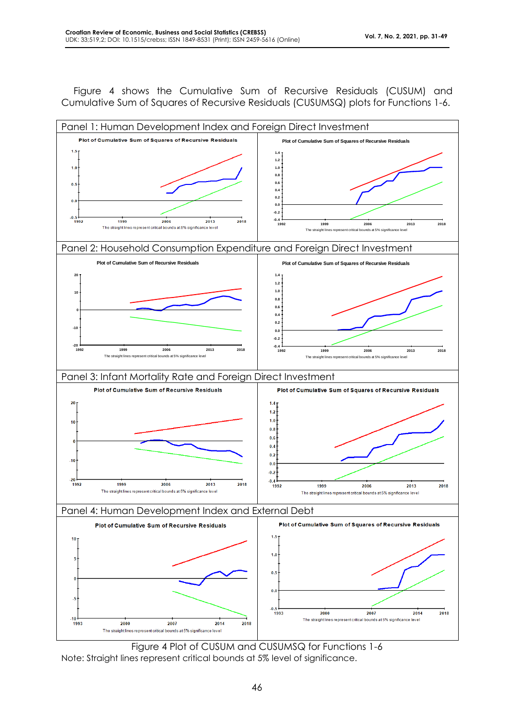Figure 4 shows the Cumulative Sum of Recursive Residuals (CUSUM) and Cumulative Sum of Squares of Recursive Residuals (CUSUMSQ) plots for Functions 1-6.



Figure 4 Plot of CUSUM and CUSUMSQ for Functions 1-6 Note: Straight lines represent critical bounds at 5% level of significance.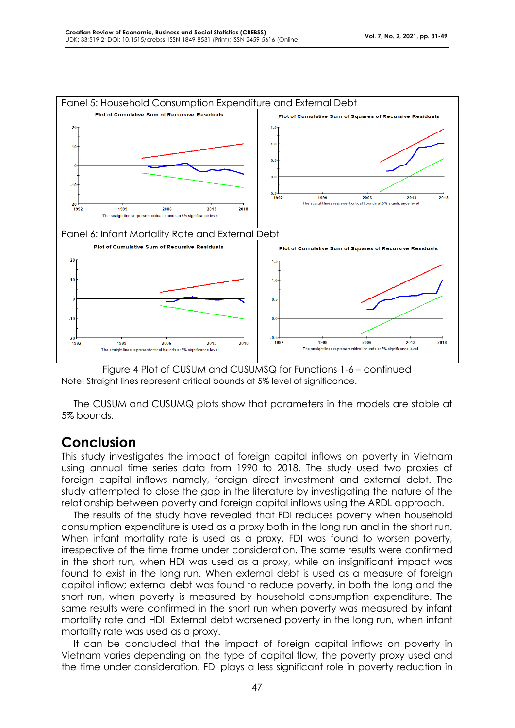



The CUSUM and CUSUMQ plots show that parameters in the models are stable at 5% bounds.

# **Conclusion**

This study investigates the impact of foreign capital inflows on poverty in Vietnam using annual time series data from 1990 to 2018. The study used two proxies of foreign capital inflows namely, foreign direct investment and external debt. The study attempted to close the gap in the literature by investigating the nature of the relationship between poverty and foreign capital inflows using the ARDL approach.

The results of the study have revealed that FDI reduces poverty when household consumption expenditure is used as a proxy both in the long run and in the short run. When infant mortality rate is used as a proxy, FDI was found to worsen poverty, irrespective of the time frame under consideration. The same results were confirmed in the short run, when HDI was used as a proxy, while an insignificant impact was found to exist in the long run. When external debt is used as a measure of foreign capital inflow; external debt was found to reduce poverty, in both the long and the short run, when poverty is measured by household consumption expenditure. The same results were confirmed in the short run when poverty was measured by infant mortality rate and HDI. External debt worsened poverty in the long run, when infant mortality rate was used as a proxy.

It can be concluded that the impact of foreign capital inflows on poverty in Vietnam varies depending on the type of capital flow, the poverty proxy used and the time under consideration. FDI plays a less significant role in poverty reduction in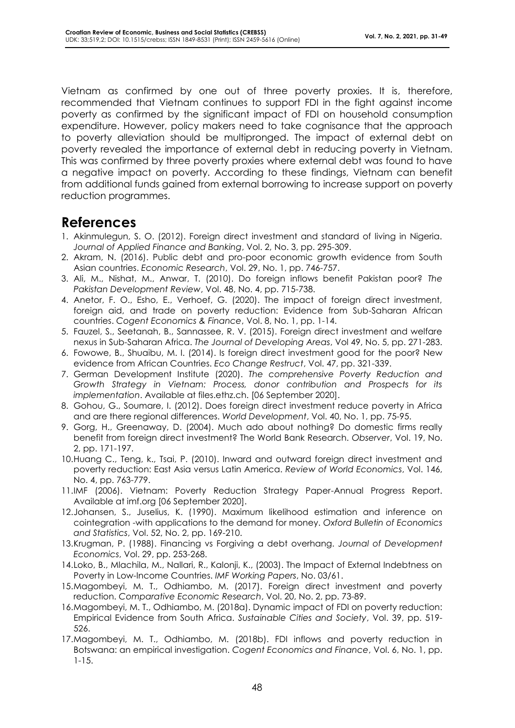Vietnam as confirmed by one out of three poverty proxies. It is, therefore, recommended that Vietnam continues to support FDI in the fight against income poverty as confirmed by the significant impact of FDI on household consumption expenditure. However, policy makers need to take cognisance that the approach to poverty alleviation should be multipronged. The impact of external debt on poverty revealed the importance of external debt in reducing poverty in Vietnam. This was confirmed by three poverty proxies where external debt was found to have a negative impact on poverty. According to these findings, Vietnam can benefit from additional funds gained from external borrowing to increase support on poverty reduction programmes.

## **References**

- 1. Akinmulegun, S. O. (2012). Foreign direct investment and standard of living in Nigeria. *Journal of Applied Finance and Banking*, Vol. 2, No. 3, pp. 295-309.
- 2. Akram, N. (2016). Public debt and pro-poor economic growth evidence from South Asian countries. *Economic Research*, Vol. 29, No. 1, pp. 746-757.
- 3. Ali, M., Nishat, M., Anwar, T. (2010). Do foreign inflows benefit Pakistan poor? *The Pakistan Development Review*, Vol. 48, No. 4, pp. 715-738.
- 4. Anetor, F. O., Esho, E., Verhoef, G. (2020). The impact of foreign direct investment, foreign aid, and trade on poverty reduction: Evidence from Sub-Saharan African countries. *Cogent Economics & Finance*, Vol. 8, No. 1, pp. 1-14.
- 5. Fauzel, S., Seetanah, B., Sannassee, R. V. (2015). Foreign direct investment and welfare nexus in Sub-Saharan Africa. *The Journal of Developing Areas*, Vol 49, No. 5, pp. 271-283.
- 6. Fowowe, B., Shuaibu, M. I. (2014). Is foreign direct investment good for the poor? New evidence from African Countries. *Eco Change Restruct*, Vol. 47, pp. 321-339.
- 7. German Development Institute (2020). *The comprehensive Poverty Reduction and Growth Strategy in Vietnam: Process, donor contribution and Prospects for its implementation*. Available at files.ethz.ch. [06 September 2020].
- 8. Gohou, G., Soumare, I. (2012). Does foreign direct investment reduce poverty in Africa and are there regional differences. *World Development*, Vol. 40, No. 1, pp. 75-95.
- 9. Gorg, H., Greenaway, D. (2004). Much ado about nothing? Do domestic firms really benefit from foreign direct investment? The World Bank Research. *Observer*, Vol. 19, No. 2, pp. 171-197.
- 10.Huang C., Teng, k., Tsai, P. (2010). Inward and outward foreign direct investment and poverty reduction: East Asia versus Latin America. *Review of World Economics*, Vol. 146, No. 4, pp. 763-779.
- 11.IMF (2006). Vietnam: Poverty Reduction Strategy Paper-Annual Progress Report. Available at imf.org [06 September 2020].
- 12.Johansen, S., Juselius, K. (1990). Maximum likelihood estimation and inference on cointegration -with applications to the demand for money. *Oxford Bulletin of Economics and Statistics*, Vol. 52, No. 2, pp. 169-210.
- 13.Krugman, P. (1988). Financing vs Forgiving a debt overhang. *Journal of Development Economics*, Vol. 29, pp. 253-268.
- 14.Loko, B., Mlachila, M., Nallari, R., Kalonji, K., (2003). The Impact of External Indebtness on Poverty in Low-Income Countries. *IMF Working Papers*, No. 03/61.
- 15.Magombeyi, M. T., Odhiambo, M. (2017). Foreign direct investment and poverty reduction. *Comparative Economic Research*, Vol. 20, No. 2, pp. 73-89.
- 16.Magombeyi, M. T., Odhiambo, M. (2018a). Dynamic impact of FDI on poverty reduction: Empirical Evidence from South Africa. *Sustainable Cities and Society*, Vol. 39, pp. 519- 526.
- 17.Magombeyi, M. T., Odhiambo, M. (2018b). FDI inflows and poverty reduction in Botswana: an empirical investigation. *Cogent Economics and Finance*, Vol. 6, No. 1, pp. 1-15.